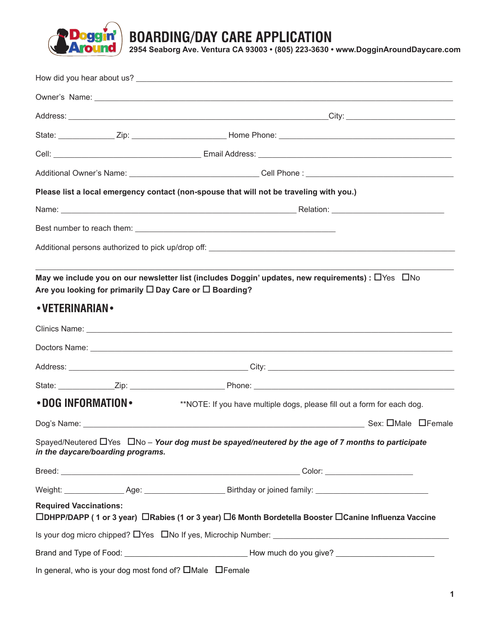

**BOARDING/DAY CARE APPLICATION**

**2954 Seaborg Ave. Ventura CA 93003 • (805) 223-3630 • www.DogginAroundDaycare.com**

|                               |                                   | Please list a local emergency contact (non-spouse that will not be traveling with you.)                                                                                                  |  |  |
|-------------------------------|-----------------------------------|------------------------------------------------------------------------------------------------------------------------------------------------------------------------------------------|--|--|
|                               |                                   |                                                                                                                                                                                          |  |  |
|                               |                                   |                                                                                                                                                                                          |  |  |
|                               |                                   |                                                                                                                                                                                          |  |  |
|                               |                                   | May we include you on our newsletter list (includes Doggin' updates, new requirements) : $\Box$ Yes $\Box$ No<br>Are you looking for primarily $\square$ Day Care or $\square$ Boarding? |  |  |
| • VETERINARIAN •              |                                   |                                                                                                                                                                                          |  |  |
|                               |                                   |                                                                                                                                                                                          |  |  |
|                               |                                   |                                                                                                                                                                                          |  |  |
|                               |                                   |                                                                                                                                                                                          |  |  |
|                               |                                   |                                                                                                                                                                                          |  |  |
| • DOG INFORMATION •           |                                   | **NOTE: If you have multiple dogs, please fill out a form for each dog.                                                                                                                  |  |  |
|                               |                                   |                                                                                                                                                                                          |  |  |
|                               | in the daycare/boarding programs. | Spayed/Neutered $\Box$ Yes $\Box$ No – Your dog must be spayed/neutered by the age of 7 months to participate                                                                            |  |  |
|                               |                                   |                                                                                                                                                                                          |  |  |
|                               |                                   |                                                                                                                                                                                          |  |  |
| <b>Required Vaccinations:</b> |                                   | □DHPP/DAPP (1 or 3 year) □Rabies (1 or 3 year) □6 Month Bordetella Booster □Canine Influenza Vaccine                                                                                     |  |  |
|                               |                                   |                                                                                                                                                                                          |  |  |
|                               |                                   | Brand and Type of Food: __________________________________How much do you give? __________________________                                                                               |  |  |
|                               |                                   | In general, who is your dog most fond of? $\square$ Male $\square$ Female                                                                                                                |  |  |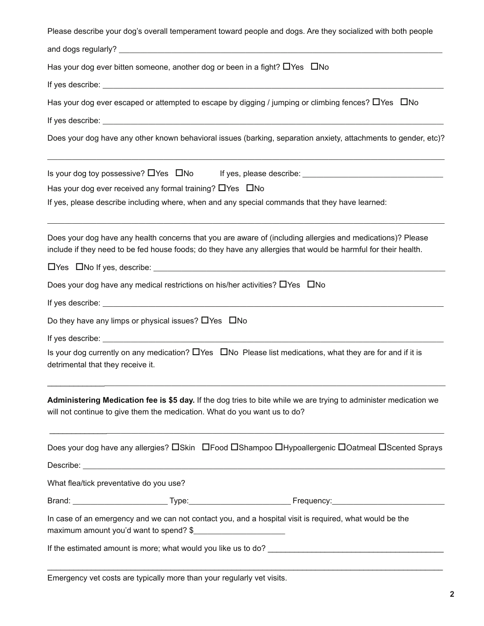| Please describe your dog's overall temperament toward people and dogs. Are they socialized with both people                                                                                                                  |
|------------------------------------------------------------------------------------------------------------------------------------------------------------------------------------------------------------------------------|
|                                                                                                                                                                                                                              |
| Has your dog ever bitten someone, another dog or been in a fight? $\Box$ Yes $\Box$ No                                                                                                                                       |
|                                                                                                                                                                                                                              |
| Has your dog ever escaped or attempted to escape by digging / jumping or climbing fences? OYes ONo                                                                                                                           |
|                                                                                                                                                                                                                              |
| Does your dog have any other known behavioral issues (barking, separation anxiety, attachments to gender, etc)?                                                                                                              |
|                                                                                                                                                                                                                              |
| Has your dog ever received any formal training? $\Box$ Yes $\Box$ No                                                                                                                                                         |
| If yes, please describe including where, when and any special commands that they have learned:                                                                                                                               |
| Does your dog have any health concerns that you are aware of (including allergies and medications)? Please<br>include if they need to be fed house foods; do they have any allergies that would be harmful for their health. |
|                                                                                                                                                                                                                              |
| Does your dog have any medical restrictions on his/her activities? $\Box$ Yes $\Box$ No                                                                                                                                      |
|                                                                                                                                                                                                                              |
| Do they have any limps or physical issues? $\Box$ Yes $\Box$ No                                                                                                                                                              |
|                                                                                                                                                                                                                              |
| Is your dog currently on any medication? $\Box$ Yes $\Box$ No Please list medications, what they are for and if it is<br>detrimental that they receive it.                                                                   |
| Administering Medication fee is \$5 day. If the dog tries to bite while we are trying to administer medication we<br>will not continue to give them the medication. What do you want us to do?                               |
| Does your dog have any allergies? OSkin OFood OShampoo OHypoallergenic OOatmeal OScented Sprays                                                                                                                              |
|                                                                                                                                                                                                                              |
| What flea/tick preventative do you use?                                                                                                                                                                                      |
|                                                                                                                                                                                                                              |
| In case of an emergency and we can not contact you, and a hospital visit is required, what would be the<br>maximum amount you'd want to spend? \$                                                                            |
|                                                                                                                                                                                                                              |

Emergency vet costs are typically more than your regularly vet visits.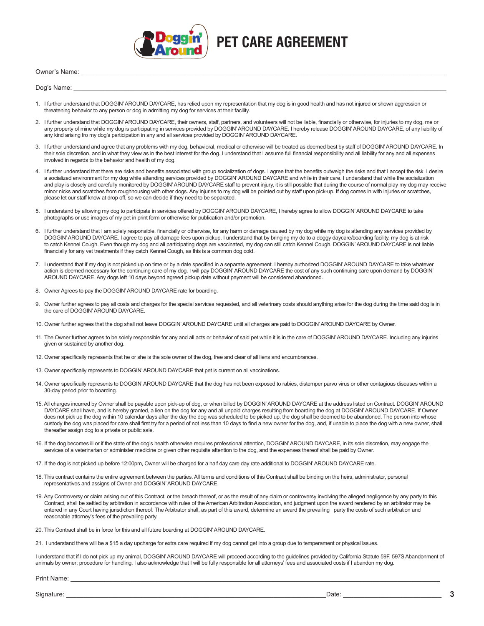

## **PET CARE AGREEMENT**

Owner's Name: \_\_\_\_\_\_\_\_\_\_\_\_\_\_\_\_\_\_\_\_\_\_\_\_\_\_\_\_\_\_\_\_\_\_\_\_\_\_\_\_\_\_\_\_\_\_\_\_\_\_\_\_\_\_\_\_\_\_\_\_\_\_\_\_\_\_\_\_\_\_\_\_\_\_\_\_\_\_\_\_\_\_\_\_\_\_\_\_\_\_\_\_\_\_\_\_\_\_\_\_\_\_\_\_

Dog's Name: \_\_\_\_\_\_\_\_\_\_\_\_\_\_\_\_\_\_\_\_\_\_\_\_\_\_\_\_\_\_\_\_\_\_\_\_\_\_\_\_\_\_\_\_\_\_\_\_\_\_\_\_\_\_\_\_\_\_\_\_\_\_\_\_\_\_\_\_\_\_\_\_\_\_\_\_\_\_\_\_\_\_\_\_\_\_\_\_\_\_\_\_\_\_\_\_\_\_\_\_\_\_\_\_\_\_

- 1. I further understand that DOGGIN' AROUND DAYCARE, has relied upon my representation that my dog is in good health and has not injured or shown aggression or threatening behavior to any person or dog in admitting my dog for services at their facility.
- 2. I further understand that DOGGIN' AROUND DAYCARE, their owners, staff, partners, and volunteers will not be liable, financially or otherwise, for injuries to my dog, me or any property of mine while my dog is participating in services provided by DOGGIN' AROUND DAYCARE. I hereby release DOGGIN' AROUND DAYCARE, of any liability of any kind arising fro my dog's participation in any and all services provided by DOGGIN' AROUND DAYCARE.
- 3. I further understand and agree that any problems with my dog, behavioral, medical or otherwise will be treated as deemed best by staff of DOGGIN' AROUND DAYCARE. In their sole discretion, and in what they view as in the best interest for the dog. I understand that I assume full financial responsibility and all liability for any and all expenses involved in regards to the behavior and health of my dog.
- 4. I further understand that there are risks and benefits associated with group socialization of dogs. I agree that the benefits outweigh the risks and that I accept the risk. I desire a socialized environment for my dog while attending services provided by DOGGIN' AROUND DAYCARE and while in their care. I understand that while the socialization and play is closely and carefully monitored by DOGGIN' AROUND DAYCARE staff to prevent injury, it is still possible that during the course of normal play my dog may receive minor nicks and scratches from roughhousing with other dogs. Any injuries to my dog will be pointed out by staff upon pick-up. If dog comes in with injuries or scratches, please let our staff know at drop off, so we can decide if they need to be separated.
- 5. I understand by allowing my dog to participate in services offered by DOGGIN' AROUND DAYCARE, I hereby agree to allow DOGGIN' AROUND DAYCARE to take photographs or use images of my pet in print form or otherwise for publication and/or promotion.
- 6. I further understand that I am solely responsible, financially or otherwise, for any harm or damage caused by my dog while my dog is attending any services provided by DOGGIN' AROUND DAYCARE. I agree to pay all damage fees upon pickup. I understand that by bringing my do to a doggy daycare/boarding facility, my dog is at risk to catch Kennel Cough. Even though my dog and all participating dogs are vaccinated, my dog can still catch Kennel Cough. DOGGIN' AROUND DAYCARE is not liable financially for any vet treatments if they catch Kennel Cough, as this is a common dog cold.
- 7. I understand that if my dog is not picked up on time or by a date specified in a separate agreement. I hereby authorized DOGGIN' AROUND DAYCARE to take whatever action is deemed necessary for the continuing care of my dog. I will pay DOGGIN' AROUND DAYCARE the cost of any such continuing care upon demand by DOGGIN' AROUND DAYCARE. Any dogs left 10 days beyond agreed pickup date without payment will be considered abandoned.
- 8. Owner Agrees to pay the DOGGIN' AROUND DAYCARE rate for boarding.
- 9. Owner further agrees to pay all costs and charges for the special services requested, and all veterinary costs should anything arise for the dog during the time said dog is in the care of DOGGIN' AROUND DAYCARE.
- 10. Owner further agrees that the dog shall not leave DOGGIN' AROUND DAYCARE until all charges are paid to DOGGIN' AROUND DAYCARE by Owner.
- 11. The Owner further agrees to be solely responsible for any and all acts or behavior of said pet while it is in the care of DOGGIN' AROUND DAYCARE. Including any injuries given or sustained by another dog.
- 12. Owner specifically represents that he or she is the sole owner of the dog, free and clear of all liens and encumbrances.
- 13. Owner specifically represents to DOGGIN' AROUND DAYCARE that pet is current on all vaccinations.
- 14. Owner specifically represents to DOGGIN' AROUND DAYCARE that the dog has not been exposed to rabies, distemper parvo virus or other contagious diseases within a 30-day period prior to boarding.
- 15. All charges incurred by Owner shall be payable upon pick-up of dog, or when billed by DOGGIN' AROUND DAYCARE at the address listed on Contract. DOGGIN' AROUND DAYCARE shall have, and is hereby granted, a lien on the dog for any and all unpaid charges resulting from boarding the dog at DOGGIN' AROUND DAYCARE. If Owner does not pick up the dog within 10 calendar days after the day the dog was scheduled to be picked up, the dog shall be deemed to be abandoned. The person into whose custody the dog was placed for care shall first try for a period of not less than 10 days to find a new owner for the dog, and, if unable to place the dog with a new owner, shall thereafter assign dog to a private or public sale.
- 16. If the dog becomes ill or if the state of the dog's health otherwise requires professional attention, DOGGIN' AROUND DAYCARE, in its sole discretion, may engage the services of a veterinarian or administer medicine or given other requisite attention to the dog, and the expenses thereof shall be paid by Owner.
- 17. If the dog is not picked up before 12:00pm, Owner will be charged for a half day care day rate additional to DOGGIN' AROUND DAYCARE rate.
- 18. This contract contains the entire agreement between the parties. All terms and conditions of this Contract shall be binding on the heirs, administrator, personal representatives and assigns of Owner and DOGGIN' AROUND DAYCARE.
- 19. Any Controversy or claim arising out of this Contract, or the breach thereof, or as the result of any claim or controversy involving the alleged negligence by any party to this Contract, shall be settled by arbitration in accordance with rules of the American Arbitration Association, and judgment upon the award rendered by an arbitrator may be entered in any Court having jurisdiction thereof. The Arbitrator shall, as part of this award, determine an award the prevailing party the costs of such arbitration and reasonable attorney's fees of the prevailing party.
- 20. This Contract shall be in force for this and all future boarding at DOGGIN' AROUND DAYCARE.
- 21. I understand there will be a \$15 a day upcharge for extra care required if my dog cannot get into a group due to temperament or physical issues.

I understand that if I do not pick up my animal, DOGGIN' AROUND DAYCARE will proceed according to the guidelines provided by California Statute 59F, 597S Abandonment of animals by owner; procedure for handling. I also acknowledge that I will be fully responsible for all attorneys' fees and associated costs if I abandon my dog.

Print Name: \_\_\_\_\_\_\_\_\_\_\_\_\_\_\_\_\_\_\_\_\_\_\_\_\_\_\_\_\_\_\_\_\_\_\_\_\_\_\_\_\_\_\_\_\_\_\_\_\_\_\_\_\_\_\_\_\_\_\_\_\_\_\_\_\_\_\_\_\_\_\_\_\_\_\_\_\_\_\_\_\_\_\_\_\_\_\_\_\_\_\_\_\_\_\_\_\_\_\_\_\_\_\_\_\_

Signature: \_\_\_\_\_\_\_\_\_\_\_\_\_\_\_\_\_\_\_\_\_\_\_\_\_\_\_\_\_\_\_\_\_\_\_\_\_\_\_\_\_\_\_\_\_\_\_\_\_\_\_\_\_\_\_\_\_\_\_\_\_\_\_\_\_\_\_\_\_\_\_\_\_\_Date: \_\_\_\_\_\_\_\_\_\_\_\_\_\_\_\_\_\_\_\_\_\_\_\_\_\_\_\_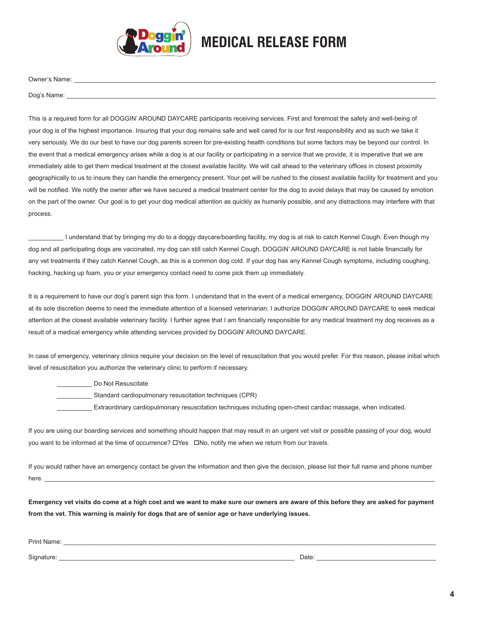

## **MEDICAL RELEASE FORM**

Owner's Name: \_\_\_\_\_\_\_\_\_\_\_\_\_\_\_\_\_\_\_\_\_\_\_\_\_\_\_\_\_\_\_\_\_\_\_\_\_\_\_\_\_\_\_\_\_\_\_\_\_\_\_\_\_\_\_\_\_\_\_\_\_\_\_\_\_\_\_\_\_\_\_\_\_\_\_\_\_\_\_\_\_\_\_\_\_\_\_\_\_\_\_\_\_\_\_\_\_\_\_\_\_\_\_

Dog's Name:

This is a required form for all DOGGIN' AROUND DAYCARE participants receiving services. First and foremost the safety and well-being of your dog is of the highest importance. Insuring that your dog remains safe and well cared for is our first responsibility and as such we take it very seriously. We do our best to have our dog parents screen for pre-existing health conditions but some factors may be beyond our control. In the event that a medical emergency arises while a dog is at our facility or participating in a service that we provide, it is imperative that we are immediately able to get them medical treatment at the closest available facility. We will call ahead to the veterinary offices in closest proximity geographically to us to insure they can handle the emergency present. Your pet will be rushed to the closest available facility for treatment and you will be notified. We notify the owner after we have secured a medical treatment center for the dog to avoid delays that may be caused by emotion on the part of the owner. Our goal is to get your dog medical attention as quickly as humanly possible, and any distractions may interfere with that process.

\_\_\_\_\_\_\_\_\_\_ I understand that by bringing my do to a doggy daycare/boarding facility, my dog is at risk to catch Kennel Cough. Even though my dog and all participating dogs are vaccinated, my dog can still catch Kennel Cough. DOGGIN' AROUND DAYCARE is not liable financially for any vet treatments if they catch Kennel Cough, as this is a common dog cold. If your dog has any Kennel Cough symptoms, including coughing, hacking, hacking up foam, you or your emergency contact need to come pick them up immediately.

It is a requirement to have our dog's parent sign this form. I understand that in the event of a medical emergency, DOGGIN' AROUND DAYCARE at its sole discretion deems to need the immediate attention of a licensed veterinarian. I authorize DOGGIN' AROUND DAYCARE to seek medical attention at the closest available veterinary facility. I further agree that I am financially responsible for any medical treatment my dog receives as a result of a medical emergency while attending services provided by DOGGIN' AROUND DAYCARE.

In case of emergency, veterinary clinics require your decision on the level of resuscitation that you would prefer. For this reason, please initial which level of resuscitation you authorize the veterinary clinic to perform if necessary.

\_\_\_\_\_\_\_\_\_\_ Do Not Resuscitate

\_\_\_\_\_\_\_\_\_\_ Standard cardiopulmonary resuscitation techniques (CPR)

\_\_\_\_\_\_\_\_\_\_ Extraordinary cardiopulmonary resuscitation techniques including open-chest cardiac massage, when indicated.

If you are using our boarding services and something should happen that may result in an urgent vet visit or possible passing of your dog, would you want to be informed at the time of occurrence?  $\Box$  Yes  $\Box$  No, notify me when we return from our travels.

If you would rather have an emergency contact be given the information and then give the decision, please list their full name and phone number here. \_\_\_\_\_\_\_\_\_\_\_\_\_\_\_\_\_\_\_\_\_\_\_\_\_\_\_\_\_\_\_\_\_\_\_\_\_\_\_\_\_\_\_\_\_\_\_\_\_\_\_\_\_\_\_\_\_\_\_\_\_\_\_\_\_\_\_\_\_\_\_\_\_\_\_\_\_\_\_\_\_\_\_\_\_\_\_\_\_\_\_\_\_\_\_\_\_\_\_\_\_\_\_\_\_\_\_\_\_\_\_

**Emergency vet visits do come at a high cost and we want to make sure our owners are aware of this before they are asked for payment from the vet. This warning is mainly for dogs that are of senior age or have underlying issues.**

| Print Name: |       |
|-------------|-------|
|             |       |
| Signat      | Date: |